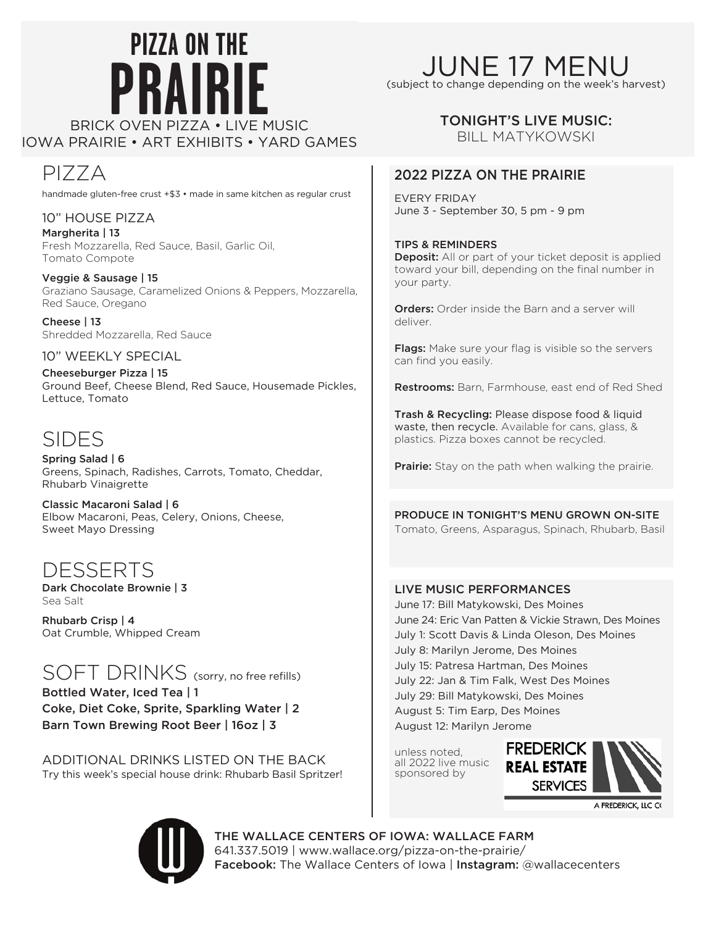# **pizza on thE PRAIRIE** IOWA PRAIRIE • ART EXHIBITS • yard games

PIZZA handmade gluten-free crust +\$3 • made in same kitchen as regular crust

10" House Pizza Margherita | 13 Fresh Mozzarella, Red Sauce, Basil, Garlic Oil, Tomato Compote

Veggie & Sausage | 15 Graziano Sausage, Caramelized Onions & Peppers, Mozzarella, Red Sauce, Oregano

Cheese | 13 Shredded Mozzarella, Red Sauce

### 10" WEEKLY SPECIAL

Cheeseburger Pizza | 15 Ground Beef, Cheese Blend, Red Sauce, Housemade Pickles, Lettuce, Tomato

### SIDES

Spring Salad | 6 Greens, Spinach, Radishes, Carrots, Tomato, Cheddar, Rhubarb Vinaigrette

Classic Macaroni Salad | 6 Elbow Macaroni, Peas, Celery, Onions, Cheese, Sweet Mayo Dressing

### DESSERTS

Dark Chocolate Brownie | 3 Sea Salt

Rhubarb Crisp | 4 Oat Crumble, Whipped Cream

### SOFT DRINKS (sorry, no free refills) Bottled Water, Iced Tea | 1

Coke, Diet Coke, Sprite, Sparkling Water | 2 Barn Town Brewing Root Beer | 16oz | 3

Additional drinks listed on the back Try this week's special house drink: Rhubarb Basil Spritzer!

## june 17 menu

(subject to change depending on the week's harvest)

### TONIGHT'S LIVE MUSIC:

bill matykowski

### 2022 Pizza on the Prairie

every Friday June 3 - September 30, 5 pm - 9 pm

Tips & Reminders Deposit: All or part of your ticket deposit is applied

toward your bill, depending on the final number in your party.

**Orders:** Order inside the Barn and a server will deliver.

Flags: Make sure your flag is visible so the servers can find you easily.

Restrooms: Barn, Farmhouse, east end of Red Shed

Trash & Recycling: Please dispose food & liquid waste, then recycle. Available for cans, glass, & plastics. Pizza boxes cannot be recycled.

Prairie: Stay on the path when walking the prairie.

Produce in Tonight's Menu Grown On-Site Tomato, Greens, Asparagus, Spinach, Rhubarb, Basil

### LIVE MUSIC PERFORMANCES

June 17: Bill Matykowski, Des Moines June 24: Eric Van Patten & Vickie Strawn, Des Moines July 1: Scott Davis & Linda Oleson, Des Moines July 8: Marilyn Jerome, Des Moines July 15: Patresa Hartman, Des Moines July 22: Jan & Tim Falk, West Des Moines July 29: Bill Matykowski, Des Moines August 5: Tim Earp, Des Moines August 12: Marilyn Jerome

unless noted, all 2022 live music sponsored by



A FREDERICK, LLC



The Wallace Centers of Iowa: Wallace farm 641.337.5019 | www.wallace.org/pizza-on-the-prairie/ Facebook: The Wallace Centers of Iowa | Instagram: @wallacecenters